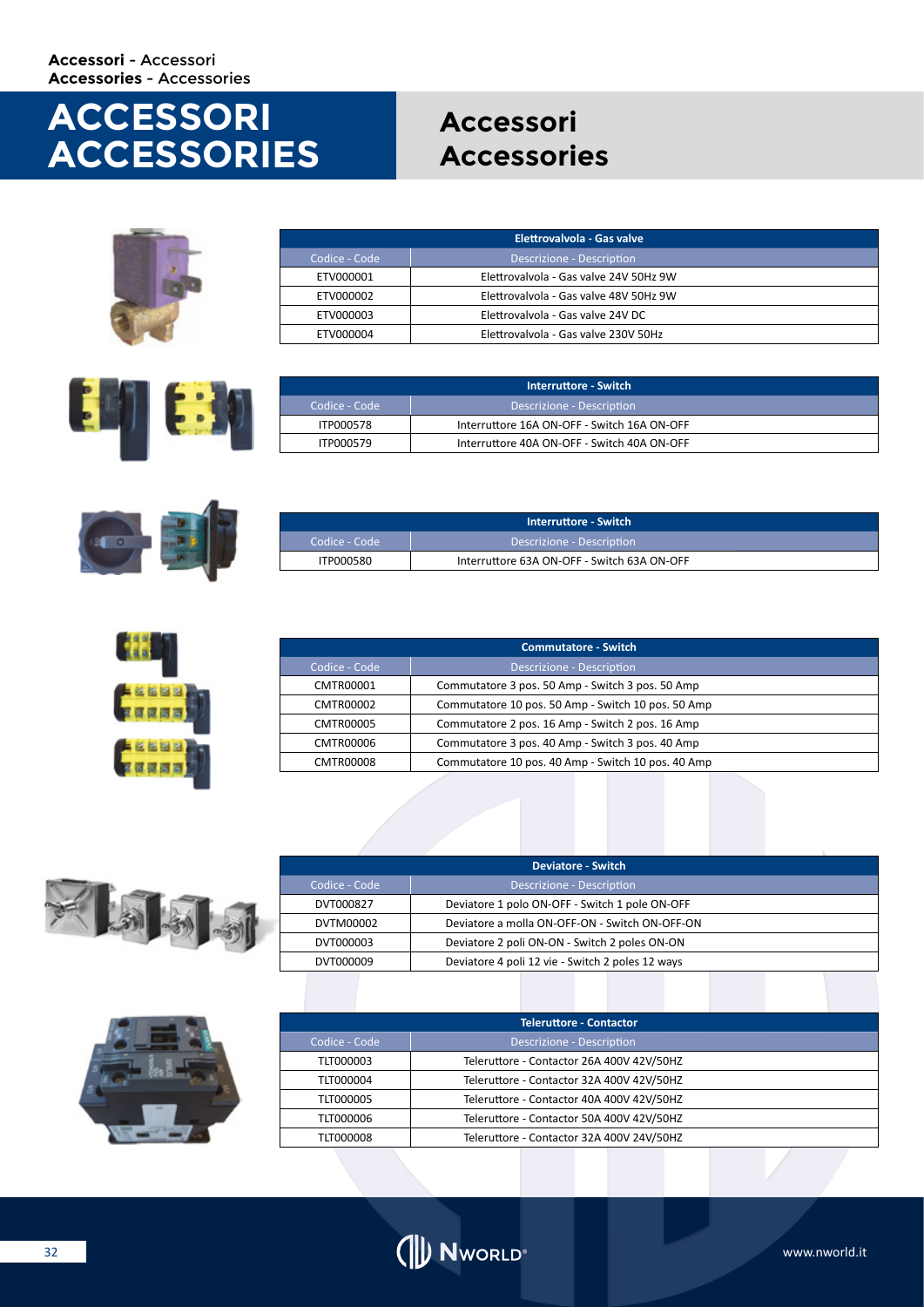## **ACCESSORI ACCESSORIES**

### **Accessori Accessories**







| Interruttore - Switch |                                             |  |
|-----------------------|---------------------------------------------|--|
| LCodice - Code '      | Descrizione - Description                   |  |
| ITP000578             | Interruttore 16A ON-OFF - Switch 16A ON-OFF |  |
| ITP000579             | Interruttore 40A ON-OFF - Switch 40A ON-OFF |  |



| Interruttore - Switch |                                             |  |
|-----------------------|---------------------------------------------|--|
| Codice - Code         | Descrizione - Description                   |  |
| ITP000580             | Interruttore 63A ON-OFF - Switch 63A ON-OFF |  |



| <b>Commutatore - Switch</b> |                                                    |  |
|-----------------------------|----------------------------------------------------|--|
| Codice - Code               | Descrizione - Description                          |  |
| CMTR00001                   | Commutatore 3 pos. 50 Amp - Switch 3 pos. 50 Amp   |  |
| CMTR00002                   | Commutatore 10 pos. 50 Amp - Switch 10 pos. 50 Amp |  |
| CMTR00005                   | Commutatore 2 pos. 16 Amp - Switch 2 pos. 16 Amp   |  |
| CMTR00006                   | Commutatore 3 pos. 40 Amp - Switch 3 pos. 40 Amp   |  |
| CMTR00008                   | Commutatore 10 pos. 40 Amp - Switch 10 pos. 40 Amp |  |



| <b>Deviatore - Switch</b> |                                                  |  |  |
|---------------------------|--------------------------------------------------|--|--|
| Codice - Code             | Descrizione - Description                        |  |  |
| DVT000827                 | Deviatore 1 polo ON-OFF - Switch 1 pole ON-OFF   |  |  |
| DVTM00002                 | Deviatore a molla ON-OFF-ON - Switch ON-OFF-ON   |  |  |
| DVT000003                 | Deviatore 2 poli ON-ON - Switch 2 poles ON-ON    |  |  |
| DVT000009                 | Deviatore 4 poli 12 vie - Switch 2 poles 12 ways |  |  |



| <b>Teleruttore - Contactor</b> |                                           |  |  |
|--------------------------------|-------------------------------------------|--|--|
| Codice - Code                  | <b>Descrizione - Description</b>          |  |  |
| TLT000003                      | Teleruttore - Contactor 26A 400V 42V/50HZ |  |  |
| TLT000004                      | Teleruttore - Contactor 32A 400V 42V/50HZ |  |  |
| <b>TLT000005</b>               | Teleruttore - Contactor 40A 400V 42V/50HZ |  |  |
| TLT000006                      | Teleruttore - Contactor 50A 400V 42V/50HZ |  |  |
| TLT000008                      | Teleruttore - Contactor 32A 400V 24V/50HZ |  |  |